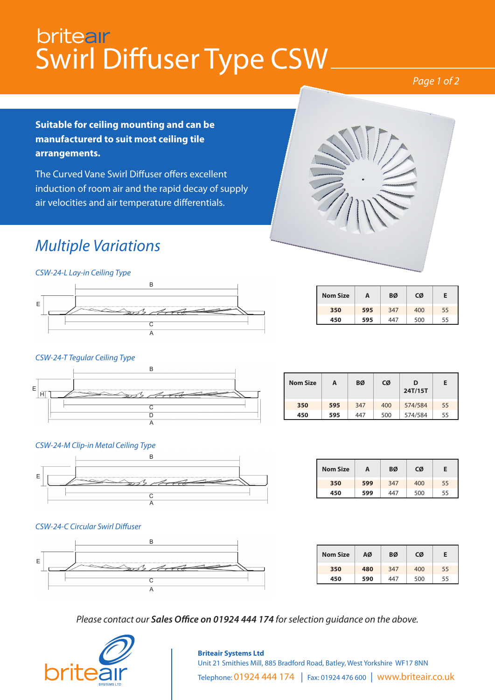## britear Swirl Diffuser Type CSW

#### *Page 1 of 2*

**Suitable for ceiling mounting and can be manufacturerd to suit most ceiling tile arrangements.**

The Curved Vane Swirl Diffuser offers excellent induction of room air and the rapid decay of supply air velocities and air temperature differentials.

## *Multiple Variations*

*CSW-24-L Lay-in Ceiling Type*



| <b>Nom Size</b> | А   | BØ  | CØ  | Ε  |
|-----------------|-----|-----|-----|----|
| 350             | 595 | 347 | 400 | 55 |
| 450             | 595 | 447 | 500 | 55 |

#### *CSW-24-T Tegular Ceiling Type*



| <b>Nom Size</b> | А   | BØ  | CØ  | D<br>24T/15T | Е  |
|-----------------|-----|-----|-----|--------------|----|
| 350             | 595 | 347 | 400 | 574/584      | 55 |
| 450             | 595 | 447 | 500 | 574/584      | 55 |

#### *CSW-24-M Clip-in Metal Ceiling Type*



| <b>Nom Size</b> | A   |     | CØ  | F  |  |
|-----------------|-----|-----|-----|----|--|
| 350             | 599 | 347 | 400 | 55 |  |
| 450             | 599 | 447 | 500 | 55 |  |

#### *CSW-24-C Circular Swirl Diffuser*



| <b>Nom Size</b> | ΑØ  | BØ  | CØ  | Е  |
|-----------------|-----|-----|-----|----|
| 350             | 480 | 347 | 400 | 55 |
| 450             | 590 | 447 | 500 | 55 |

*Please contact our Sales Office on 01924 444 174 for selection guidance on the above.*



#### **Briteair Systems Ltd** Unit 21 Smithies Mill, 885 Bradford Road, Batley, West Yorkshire WF17 8NN Telephone: 01924 444 174 | Fax: 01924 476 600 | www.briteair.co.uk